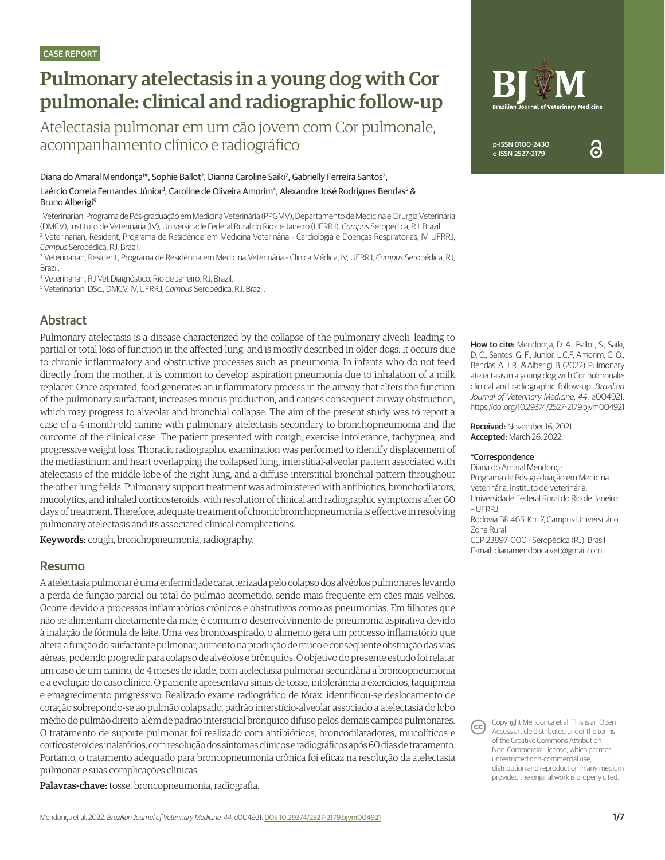# Pulmonary atelectasis in a young dog with Cor pulmonale: clinical and radiographic follow-up

Atelectasia pulmonar em um cão jovem com Cor pulmonale, acompanhamento clínico e radiográfico

Diana do Amaral Mendonça<sup>1\*</sup>, Sophie Ballot<sup>2</sup>, Dianna Caroline Saiki<sup>2</sup>, Gabrielly Ferreira Santos<sup>2</sup>,

Laércio Correia Fernandes Júnior<sup>3</sup>, Caroline de Oliveira Amorim<sup>4</sup>, Alexandre José Rodrigues Bendas<sup>5</sup> & Bruno Alberigi<sup>5</sup>

1 Veterinarian, Programa de Pós-graduação em Medicina Veterinária (PPGMV), Departamento de Medicina e Cirurgia Veterinária (DMCV), Instituto de Veterinária (IV), Universidade Federal Rural do Rio de Janeiro (UFRRJ), *Campus* Seropédica, RJ, Brazil. 2 Veterinarian, Resident, Programa de Residência em Medicina Veterinária - Cardiologia e Doenças Respiratórias, IV, UFRRJ, *Campus* Seropédica, RJ, Brazil.

3 Veterinarian, Resident, Programa de Residência em Medicina Veterinária - Clínica Médica, IV, UFRRJ, *Campus* Seropédica, RJ, Brazil.

4 Veterinarian, RJ Vet Diagnóstico, Rio de Janeiro, RJ, Brazil.

5 Veterinarian, DSc., DMCV, IV, UFRRJ, *Campus* Seropédica, RJ, Brazil.

# Abstract

Pulmonary atelectasis is a disease characterized by the collapse of the pulmonary alveoli, leading to partial or total loss of function in the affected lung, and is mostly described in older dogs. It occurs due to chronic inflammatory and obstructive processes such as pneumonia. In infants who do not feed directly from the mother, it is common to develop aspiration pneumonia due to inhalation of a milk replacer. Once aspirated, food generates an inflammatory process in the airway that alters the function of the pulmonary surfactant, increases mucus production, and causes consequent airway obstruction, which may progress to alveolar and bronchial collapse. The aim of the present study was to report a case of a 4-month-old canine with pulmonary atelectasis secondary to bronchopneumonia and the outcome of the clinical case. The patient presented with cough, exercise intolerance, tachypnea, and progressive weight loss. Thoracic radiographic examination was performed to identify displacement of the mediastinum and heart overlapping the collapsed lung, interstitial-alveolar pattern associated with atelectasis of the middle lobe of the right lung, and a diffuse interstitial bronchial pattern throughout the other lung fields. Pulmonary support treatment was administered with antibiotics, bronchodilators, mucolytics, and inhaled corticosteroids, with resolution of clinical and radiographic symptoms after 60 days of treatment. Therefore, adequate treatment of chronic bronchopneumonia is effective in resolving pulmonary atelectasis and its associated clinical complications.

Keywords: cough, bronchopneumonia, radiography.

### Resumo

A atelectasia pulmonar é uma enfermidade caracterizada pelo colapso dos alvéolos pulmonares levando a perda de função parcial ou total do pulmão acometido, sendo mais frequente em cães mais velhos. Ocorre devido a processos inflamatórios crônicos e obstrutivos como as pneumonias. Em filhotes que não se alimentam diretamente da mãe, é comum o desenvolvimento de pneumonia aspirativa devido à inalação de fórmula de leite. Uma vez broncoaspirado, o alimento gera um processo inflamatório que altera a função do surfactante pulmonar, aumento na produção de muco e consequente obstrução das vias aéreas, podendo progredir para colapso de alvéolos e brônquios. O objetivo do presente estudo foi relatar um caso de um canino, de 4 meses de idade, com atelectasia pulmonar secundária a broncopneumonia e a evolução do caso clínico. O paciente apresentava sinais de tosse, intolerância a exercícios, taquipneia e emagrecimento progressivo. Realizado exame radiográfico de tórax, identificou-se deslocamento de coração sobrepondo-se ao pulmão colapsado, padrão interstício-alveolar associado a atelectasia do lobo médio do pulmão direito, além de padrão intersticial brônquico difuso pelos demais campos pulmonares. O tratamento de suporte pulmonar foi realizado com antibióticos, broncodilatadores, mucolíticos e corticosteroides inalatórios, com resolução dos sintomas clínicos e radiográficos após 60 dias de tratamento. Portanto, o tratamento adequado para broncopneumonia crônica foi eficaz na resolução da atelectasia pulmonar e suas complicações clínicas.

Palavras-chave: tosse, broncopneumonia, radiografia.



ဥ

How to cite: Mendonça, D. A., Ballot, S., Saiki, D. C., Santos, G. F., Junior, L.C.F, Amorim, C. O., Bendas, A. J. R., & Alberigi, B. (2022). Pulmonary atelectasis in a young dog with Cor pulmonale: clinical and radiographic follow-up. *Brazilian Journal of Veterinary Medicine*, *44*, e004921. https://doi.org/10.29374/2527-2179.bjvm004921

Received: November 16, 2021. Accepted: March 26, 2022.

#### \*Correspondence

Diana do Amaral Mendonça Programa de Pós-graduação em Medicina Veterinária, Instituto de Veterinária, Universidade Federal Rural do Rio de Janeiro – UFRRJ Rodovia BR 465, Km 7, Campus Universitário, Zona Rural CEP 23897-000 - Seropédica (RJ), Brasil E-mail: dianamendonca.vet@gmail.com

Copyright Mendonça et al. This is an Open  $(cc)$ Access article distributed under the terms of the Creative Commons Attribution Non-Commercial License, which permits unrestricted non-commercial use, distribution and reproduction in any medium provided the original work is properly cited.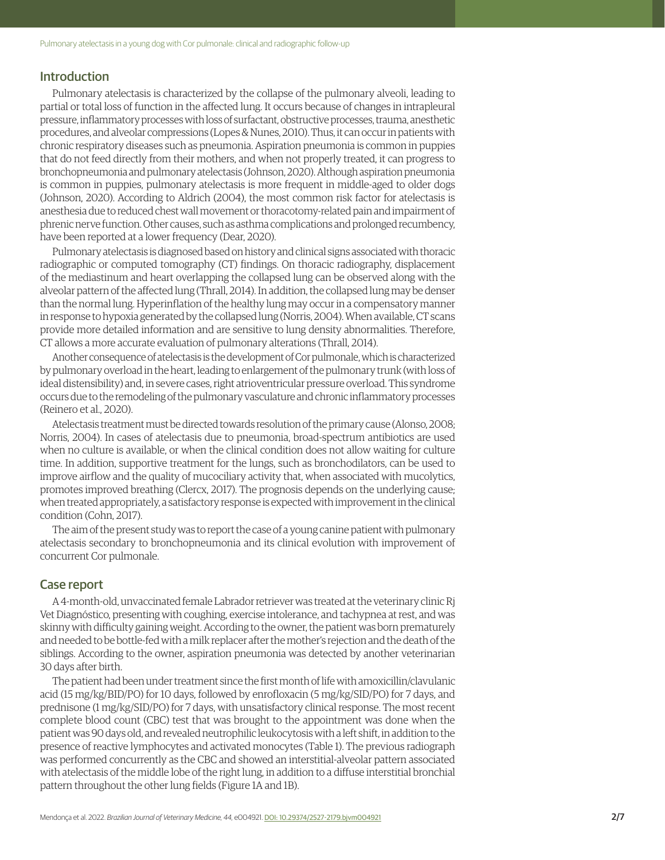### Introduction

Pulmonary atelectasis is characterized by the collapse of the pulmonary alveoli, leading to partial or total loss of function in the affected lung. It occurs because of changes in intrapleural pressure, inflammatory processes with loss of surfactant, obstructive processes, trauma, anesthetic procedures, and alveolar compressions (Lopes & Nunes, 2010). Thus, it can occur in patients with chronic respiratory diseases such as pneumonia. Aspiration pneumonia is common in puppies that do not feed directly from their mothers, and when not properly treated, it can progress to bronchopneumonia and pulmonary atelectasis (Johnson, 2020). Although aspiration pneumonia is common in puppies, pulmonary atelectasis is more frequent in middle-aged to older dogs (Johnson, 2020). According to Aldrich (2004), the most common risk factor for atelectasis is anesthesia due to reduced chest wall movement or thoracotomy-related pain and impairment of phrenic nerve function. Other causes, such as asthma complications and prolonged recumbency, have been reported at a lower frequency (Dear, 2020).

Pulmonary atelectasis is diagnosed based on history and clinical signs associated with thoracic radiographic or computed tomography (CT) findings. On thoracic radiography, displacement of the mediastinum and heart overlapping the collapsed lung can be observed along with the alveolar pattern of the affected lung (Thrall, 2014). In addition, the collapsed lung may be denser than the normal lung. Hyperinflation of the healthy lung may occur in a compensatory manner in response to hypoxia generated by the collapsed lung (Norris, 2004). When available, CT scans provide more detailed information and are sensitive to lung density abnormalities. Therefore, CT allows a more accurate evaluation of pulmonary alterations (Thrall, 2014).

Another consequence of atelectasis is the development of Cor pulmonale, which is characterized by pulmonary overload in the heart, leading to enlargement of the pulmonary trunk (with loss of ideal distensibility) and, in severe cases, right atrioventricular pressure overload. This syndrome occurs due to the remodeling of the pulmonary vasculature and chronic inflammatory processes (Reinero et al., 2020).

Atelectasis treatment must be directed towards resolution of the primary cause (Alonso, 2008; Norris, 2004). In cases of atelectasis due to pneumonia, broad-spectrum antibiotics are used when no culture is available, or when the clinical condition does not allow waiting for culture time. In addition, supportive treatment for the lungs, such as bronchodilators, can be used to improve airflow and the quality of mucociliary activity that, when associated with mucolytics, promotes improved breathing (Clercx, 2017). The prognosis depends on the underlying cause; when treated appropriately, a satisfactory response is expected with improvement in the clinical condition (Cohn, 2017).

The aim of the present study was to report the case of a young canine patient with pulmonary atelectasis secondary to bronchopneumonia and its clinical evolution with improvement of concurrent Cor pulmonale.

#### Case report

A 4-month-old, unvaccinated female Labrador retriever was treated at the veterinary clinic Rj Vet Diagnóstico, presenting with coughing, exercise intolerance, and tachypnea at rest, and was skinny with difficulty gaining weight. According to the owner, the patient was born prematurely and needed to be bottle-fed with a milk replacer after the mother's rejection and the death of the siblings. According to the owner, aspiration pneumonia was detected by another veterinarian 30 days after birth.

The patient had been under treatment since the first month of life with amoxicillin/clavulanic acid (15 mg/kg/BID/PO) for 10 days, followed by enrofloxacin (5 mg/kg/SID/PO) for 7 days, and prednisone (1 mg/kg/SID/PO) for 7 days, with unsatisfactory clinical response. The most recent complete blood count (CBC) test that was brought to the appointment was done when the patient was 90 days old, and revealed neutrophilic leukocytosis with a left shift, in addition to the presence of reactive lymphocytes and activated monocytes (Table 1). The previous radiograph was performed concurrently as the CBC and showed an interstitial-alveolar pattern associated with atelectasis of the middle lobe of the right lung, in addition to a diffuse interstitial bronchial pattern throughout the other lung fields (Figure 1A and 1B).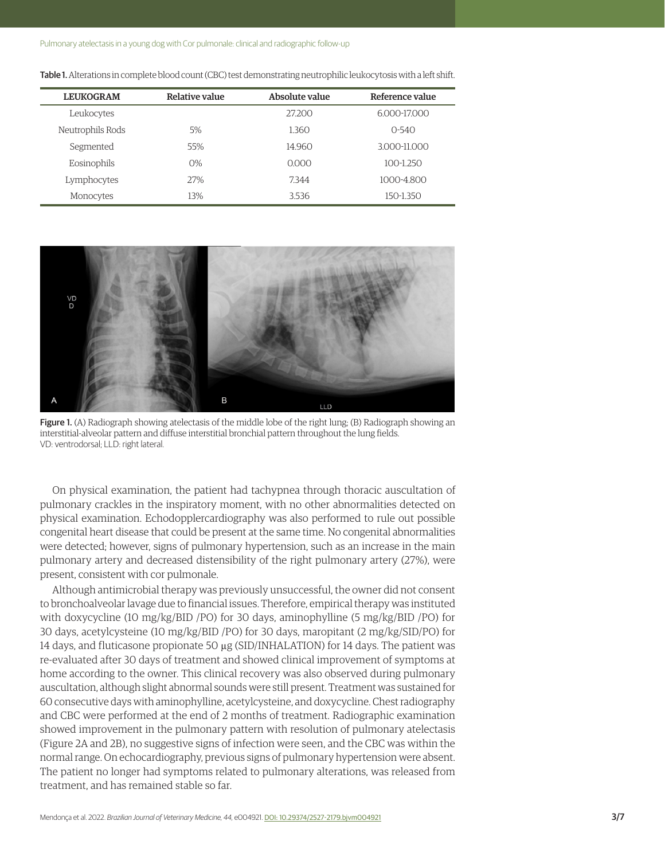Pulmonary atelectasis in a young dog with Cor pulmonale: clinical and radiographic follow-up

| <b>LEUKOGRAM</b> | Relative value | Absolute value | Reference value |
|------------------|----------------|----------------|-----------------|
| Leukocytes       |                | 27.200         | 6.000-17.000    |
| Neutrophils Rods | 5%             | 1.360          | $O-54O$         |
| Segmented        | 55%            | 14.960         | 3.000-11.000    |
| Eosinophils      | $O\%$          | 0.000          | $100 - 1.250$   |
| Lymphocytes      | 27%            | 7.344          | 1000-4.800      |
| Monocytes        | 13%            | 3.536          | 150-1.350       |

Table 1. Alterations in complete blood count (CBC) test demonstrating neutrophilic leukocytosis with a left shift.



Figure 1. (A) Radiograph showing atelectasis of the middle lobe of the right lung; (B) Radiograph showing an interstitial-alveolar pattern and diffuse interstitial bronchial pattern throughout the lung fields. VD: ventrodorsal; LLD: right lateral.

On physical examination, the patient had tachypnea through thoracic auscultation of pulmonary crackles in the inspiratory moment, with no other abnormalities detected on physical examination. Echodopplercardiography was also performed to rule out possible congenital heart disease that could be present at the same time. No congenital abnormalities were detected; however, signs of pulmonary hypertension, such as an increase in the main pulmonary artery and decreased distensibility of the right pulmonary artery (27%), were present, consistent with cor pulmonale.

Although antimicrobial therapy was previously unsuccessful, the owner did not consent to bronchoalveolar lavage due to financial issues. Therefore, empirical therapy was instituted with doxycycline (10 mg/kg/BID /PO) for 30 days, aminophylline (5 mg/kg/BID /PO) for 30 days, acetylcysteine (10 mg/kg/BID /PO) for 30 days, maropitant (2 mg/kg/SID/PO) for 14 days, and fluticasone propionate 50  $\mu$ g (SID/INHALATION) for 14 days. The patient was re-evaluated after 30 days of treatment and showed clinical improvement of symptoms at home according to the owner. This clinical recovery was also observed during pulmonary auscultation, although slight abnormal sounds were still present. Treatment was sustained for 60 consecutive days with aminophylline, acetylcysteine, and doxycycline. Chest radiography and CBC were performed at the end of 2 months of treatment. Radiographic examination showed improvement in the pulmonary pattern with resolution of pulmonary atelectasis (Figure 2A and 2B), no suggestive signs of infection were seen, and the CBC was within the normal range. On echocardiography, previous signs of pulmonary hypertension were absent. The patient no longer had symptoms related to pulmonary alterations, was released from treatment, and has remained stable so far.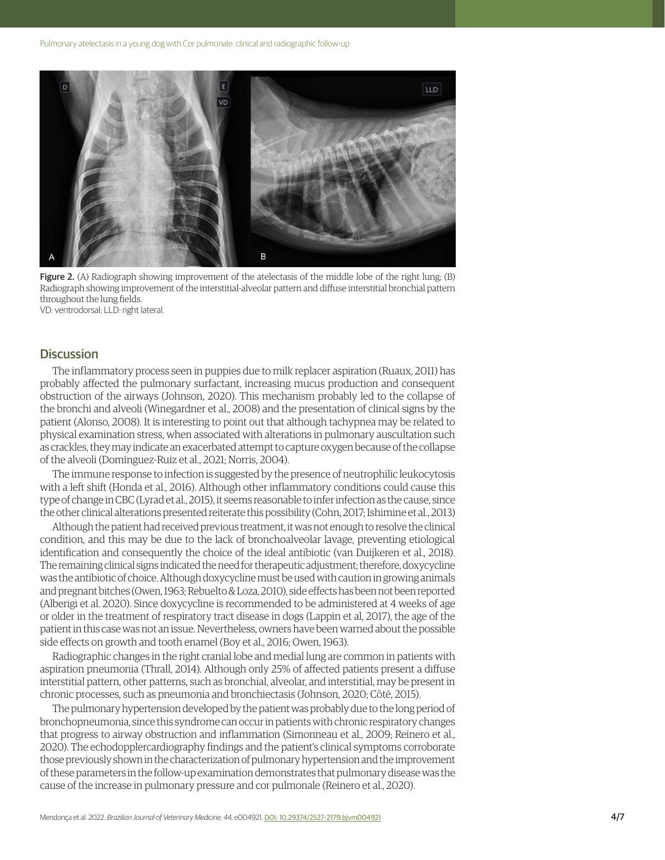

Figure 2. (A) Radiograph showing improvement of the atelectasis of the middle lobe of the right lung; (B) Radiograph showing improvement of the interstitial-alveolar pattern and diffuse interstitial bronchial pattern throughout the lung fields. VD: ventrodorsal; LLD: right lateral.

#### **Discussion**

The inflammatory process seen in puppies due to milk replacer aspiration (Ruaux, 2011) has probably affected the pulmonary surfactant, increasing mucus production and consequent obstruction of the airways (Johnson, 2020). This mechanism probably led to the collapse of the bronchi and alveoli (Winegardner et al., 2008) and the presentation of clinical signs by the patient (Alonso, 2008). It is interesting to point out that although tachypnea may be related to physical examination stress, when associated with alterations in pulmonary auscultation such as crackles, they may indicate an exacerbated attempt to capture oxygen because of the collapse of the alveoli (Domínguez-Ruiz et al., 2021; Norris, 2004).

The immune response to infection is suggested by the presence of neutrophilic leukocytosis with a left shift (Honda et al., 2016). Although other inflammatory conditions could cause this type of change in CBC (Lyrad et al., 2015), it seems reasonable to infer infection as the cause, since the other clinical alterations presented reiterate this possibility (Cohn, 2017; Ishimine et al., 2013)

Although the patient had received previous treatment, it was not enough to resolve the clinical condition, and this may be due to the lack of bronchoalveolar lavage, preventing etiological identification and consequently the choice of the ideal antibiotic (van Duijkeren et al., 2018). The remaining clinical signs indicated the need for therapeutic adjustment; therefore, doxycycline was the antibiotic of choice. Although doxycycline must be used with caution in growing animals and pregnant bitches (Owen, 1963; Rebuelto & Loza, 2010), side effects has been not been reported (Alberigi et al. 2020). Since doxycycline is recommended to be administered at 4 weeks of age or older in the treatment of respiratory tract disease in dogs (Lappin et al, 2017), the age of the patient in this case was not an issue. Nevertheless, owners have been warned about the possible side effects on growth and tooth enamel (Boy et al., 2016; Owen, 1963).

Radiographic changes in the right cranial lobe and medial lung are common in patients with aspiration pneumonia (Thrall, 2014). Although only 25% of affected patients present a diffuse interstitial pattern, other patterns, such as bronchial, alveolar, and interstitial, may be present in chronic processes, such as pneumonia and bronchiectasis (Johnson, 2020; Côté, 2015).

The pulmonary hypertension developed by the patient was probably due to the long period of bronchopneumonia, since this syndrome can occur in patients with chronic respiratory changes that progress to airway obstruction and inflammation (Simonneau et al., 2009; Reinero et al., 2020). The echodopplercardiography findings and the patient's clinical symptoms corroborate those previously shown in the characterization of pulmonary hypertension and the improvement of these parameters in the follow-up examination demonstrates that pulmonary disease was the cause of the increase in pulmonary pressure and cor pulmonale (Reinero et al., 2020).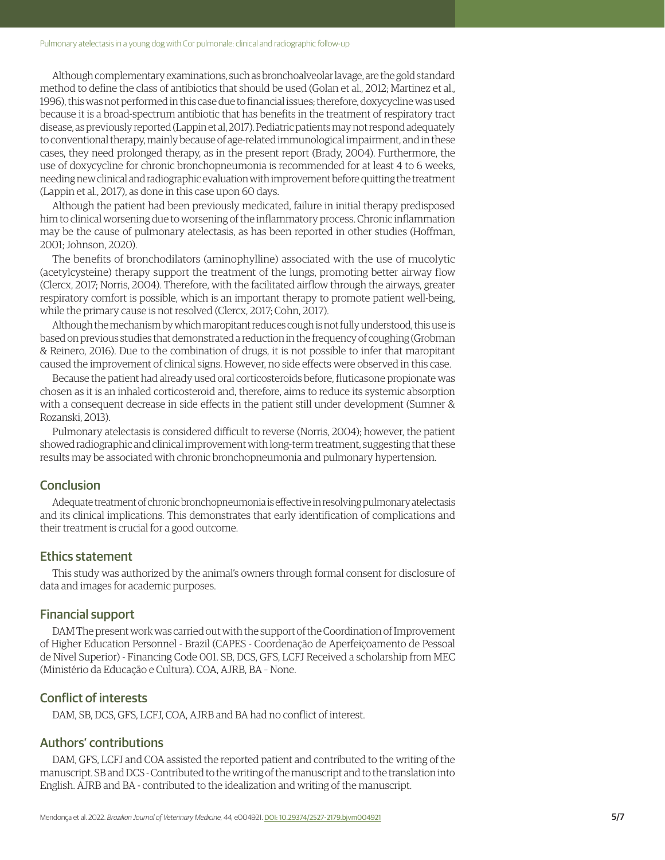#### Pulmonary atelectasis in a young dog with Cor pulmonale: clinical and radiographic follow-up

Although complementary examinations, such as bronchoalveolar lavage, are the gold standard method to define the class of antibiotics that should be used (Golan et al., 2012; Martinez et al., 1996), this was not performed in this case due to financial issues; therefore, doxycycline was used because it is a broad-spectrum antibiotic that has benefits in the treatment of respiratory tract disease, as previously reported (Lappin et al, 2017). Pediatric patients may not respond adequately to conventional therapy, mainly because of age-related immunological impairment, and in these cases, they need prolonged therapy, as in the present report (Brady, 2004). Furthermore, the use of doxycycline for chronic bronchopneumonia is recommended for at least 4 to 6 weeks, needing new clinical and radiographic evaluation with improvement before quitting the treatment (Lappin et al., 2017), as done in this case upon 60 days.

Although the patient had been previously medicated, failure in initial therapy predisposed him to clinical worsening due to worsening of the inflammatory process. Chronic inflammation may be the cause of pulmonary atelectasis, as has been reported in other studies (Hoffman, 2001; Johnson, 2020).

The benefits of bronchodilators (aminophylline) associated with the use of mucolytic (acetylcysteine) therapy support the treatment of the lungs, promoting better airway flow (Clercx, 2017; Norris, 2004). Therefore, with the facilitated airflow through the airways, greater respiratory comfort is possible, which is an important therapy to promote patient well-being, while the primary cause is not resolved (Clercx, 2017; Cohn, 2017).

Although the mechanism by which maropitant reduces cough is not fully understood, this use is based on previous studies that demonstrated a reduction in the frequency of coughing (Grobman & Reinero, 2016). Due to the combination of drugs, it is not possible to infer that maropitant caused the improvement of clinical signs. However, no side effects were observed in this case.

Because the patient had already used oral corticosteroids before, fluticasone propionate was chosen as it is an inhaled corticosteroid and, therefore, aims to reduce its systemic absorption with a consequent decrease in side effects in the patient still under development (Sumner & Rozanski, 2013).

Pulmonary atelectasis is considered difficult to reverse (Norris, 2004); however, the patient showed radiographic and clinical improvement with long-term treatment, suggesting that these results may be associated with chronic bronchopneumonia and pulmonary hypertension.

## **Conclusion**

Adequate treatment of chronic bronchopneumonia is effective in resolving pulmonary atelectasis and its clinical implications. This demonstrates that early identification of complications and their treatment is crucial for a good outcome.

#### Ethics statement

This study was authorized by the animal's owners through formal consent for disclosure of data and images for academic purposes.

### Financial support

DAM The present work was carried out with the support of the Coordination of Improvement of Higher Education Personnel - Brazil (CAPES - Coordenação de Aperfeiçoamento de Pessoal de Nível Superior) - Financing Code 001. SB, DCS, GFS, LCFJ Received a scholarship from MEC (Ministério da Educação e Cultura). COA, AJRB, BA – None.

## Conflict of interests

DAM, SB, DCS, GFS, LCFJ, COA, AJRB and BA had no conflict of interest.

### Authors' contributions

DAM, GFS, LCFJ and COA assisted the reported patient and contributed to the writing of the manuscript. SB and DCS - Contributed to the writing of the manuscript and to the translation into English. AJRB and BA - contributed to the idealization and writing of the manuscript.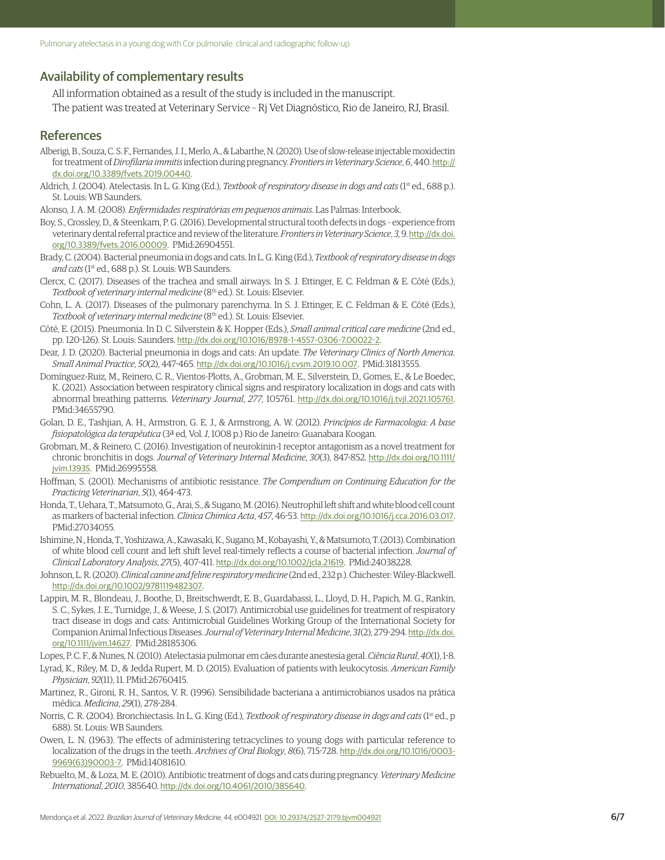### Availability of complementary results

All information obtained as a result of the study is included in the manuscript.

The patient was treated at Veterinary Service – Rj Vet Diagnóstico, Rio de Janeiro, RJ, Brasil.

#### References

- Alberigi, B., Souza, C. S. F., Fernandes, J. I., Merlo, A., & Labarthe, N. (2020). Use of slow-release injectable moxidectin for treatment of *Dirofilaria immitis* infection during pregnancy. *Frontiers in Veterinary Science*, *6*, 440. [http://](https://doi.org/10.3389/fvets.2019.00440) [dx.doi.org/10.3389/fvets.2019.00440](https://doi.org/10.3389/fvets.2019.00440).
- Aldrich, J. (2004). Atelectasis. In L. G. King (Ed.), *Textbook of respiratory disease in dogs and cats* (1st ed., 688 p.). St. Louis: WB Saunders.

Alonso, J. A. M. (2008). *Enfermidades respiratórias em pequenos animais*. Las Palmas: Interbook.

- Boy, S., Crossley, D., & Steenkam, P. G. (2016). Developmental structural tooth defects in dogs experience from veterinary dental referral practice and review of the literature. *Frontiers in Veterinary Science*, *3*, 9. [http://dx.doi.](https://doi.org/10.3389/fvets.2016.00009) [org/10.3389/fvets.2016.00009](https://doi.org/10.3389/fvets.2016.00009). [PMid:26904551.](https://www.ncbi.nlm.nih.gov/entrez/query.fcgi?cmd=Retrieve&db=PubMed&list_uids=26904551&dopt=Abstract)
- Brady, C. (2004). Bacterial pneumonia in dogs and cats. In L. G. King (Ed.), *Textbook of respiratory disease in dogs and cats* (1st ed., 688 p.). St. Louis: WB Saunders.
- Clercx, C. (2017). Diseases of the trachea and small airways. In S. J. Ettinger, E. C. Feldman & E. Côté (Eds.), *Textbook of veterinary internal medicine* (8th ed.). St. Louis: Elsevier.
- Cohn, L. A. (2017). Diseases of the pulmonary parenchyma. In S. J. Ettinger, E. C. Feldman & E. Côté (Eds.), Textbook of veterinary internal medicine (8<sup>th</sup> ed.). St. Louis: Elsevier.
- Côté, E. (2015). Pneumonia. In D. C. Silverstein & K. Hopper (Eds.), *Small animal critical care medicine* (2nd ed., pp. 120-126). St. Louis: Saunders. [http://dx.doi.org/10.1016/B978-1-4557-0306-7.00022-2](https://doi.org/10.1016/B978-1-4557-0306-7.00022-2).
- Dear, J. D. (2020). Bacterial pneumonia in dogs and cats: An update. *The Veterinary Clinics of North America. Small Animal Practice*, *50*(2), 447-465. [http://dx.doi.org/10.1016/j.cvsm.2019.10.007](https://doi.org/10.1016/j.cvsm.2019.10.007). [PMid:31813555.](https://www.ncbi.nlm.nih.gov/entrez/query.fcgi?cmd=Retrieve&db=PubMed&list_uids=31813555&dopt=Abstract)
- Domínguez-Ruiz, M., Reinero, C. R., Vientos-Plotts, A., Grobman, M. E., Silverstein, D., Gomes, E., & Le Boedec, K. (2021). Association between respiratory clinical signs and respiratory localization in dogs and cats with abnormal breathing patterns. *Veterinary Journal*, *277*, 105761. [http://dx.doi.org/10.1016/j.tvjl.2021.105761](https://doi.org/10.1016/j.tvjl.2021.105761). [PMid:34655790.](https://www.ncbi.nlm.nih.gov/entrez/query.fcgi?cmd=Retrieve&db=PubMed&list_uids=34655790&dopt=Abstract)
- Golan, D. E., Tashjian, A. H., Armstron, G. E. J., & Armstrong, A. W. (2012). *Princípios de Farmacologia: A base fisiopatológica da terapêutica* (3ª ed, Vol. *1*, 1008 p.) Rio de Janeiro: Guanabara Koogan.
- Grobman, M., & Reinero, C. (2016). Investigation of neurokinin-1 receptor antagonism as a novel treatment for chronic bronchitis in dogs. *Journal of Veterinary Internal Medicine*, *30*(3), 847-852. [http://dx.doi.org/10.1111/](https://doi.org/10.1111/jvim.13935) [jvim.13935](https://doi.org/10.1111/jvim.13935). [PMid:26995558.](https://www.ncbi.nlm.nih.gov/entrez/query.fcgi?cmd=Retrieve&db=PubMed&list_uids=26995558&dopt=Abstract)
- Hoffman, S. (2001). Mechanisms of antibiotic resistance. *The Compendium on Continuing Education for the Practicing Veterinarian*, *5*(1), 464-473.
- Honda, T., Uehara, T., Matsumoto, G., Arai, S., & Sugano, M. (2016). Neutrophil left shift and white blood cell count as markers of bacterial infection. *Clinica Chimica Acta*, *457*, 46-53. [http://dx.doi.org/10.1016/j.cca.2016.03.017](https://doi.org/10.1016/j.cca.2016.03.017). [PMid:27034055.](https://www.ncbi.nlm.nih.gov/entrez/query.fcgi?cmd=Retrieve&db=PubMed&list_uids=27034055&dopt=Abstract)
- Ishimine, N., Honda, T., Yoshizawa, A., Kawasaki, K., Sugano, M., Kobayashi, Y., & Matsumoto, T. (2013). Combination of white blood cell count and left shift level real-timely reflects a course of bacterial infection. *Journal of Clinical Laboratory Analysis*, *27*(5), 407-411. [http://dx.doi.org/10.1002/jcla.21619](https://doi.org/10.1002/jcla.21619). [PMid:24038228.](https://www.ncbi.nlm.nih.gov/entrez/query.fcgi?cmd=Retrieve&db=PubMed&list_uids=24038228&dopt=Abstract)
- Johnson, L. R. (2020). *Clinical canine and feline respiratory medicine* (2nd ed., 232 p.). Chichester: Wiley-Blackwell. [http://dx.doi.org/10.1002/9781119482307](https://doi.org/10.1002/9781119482307).
- Lappin, M. R., Blondeau, J., Boothe, D., Breitschwerdt, E. B., Guardabassi, L., Lloyd, D. H., Papich, M. G., Rankin, S. C., Sykes, J. E., Turnidge, J., & Weese, J. S. (2017). Antimicrobial use guidelines for treatment of respiratory tract disease in dogs and cats: Antimicrobial Guidelines Working Group of the International Society for Companion Animal Infectious Diseases. *Journal of Veterinary Internal Medicine*, *31*(2), 279-294. [http://dx.doi.](https://doi.org/10.1111/jvim.14627) [org/10.1111/jvim.14627](https://doi.org/10.1111/jvim.14627). [PMid:28185306.](https://www.ncbi.nlm.nih.gov/entrez/query.fcgi?cmd=Retrieve&db=PubMed&list_uids=28185306&dopt=Abstract)

Lopes, P. C. F., & Nunes, N. (2010). Atelectasia pulmonar em cães durante anestesia geral. *Ciência Rural*, *40*(1), 1-8.

- Lyrad, K., Riley, M. D., & Jedda Rupert, M. D. (2015). Evaluation of patients with leukocytosis. *American Family Physician*, *92*(11), 11. [PMid:26760415.](https://www.ncbi.nlm.nih.gov/entrez/query.fcgi?cmd=Retrieve&db=PubMed&list_uids=26760415&dopt=Abstract)
- Martinez, R., Gironi, R. H., Santos, V. R. (1996). Sensibilidade bacteriana a antimicrobianos usados na prática médica. *Medicina*, *29*(1), 278-284.
- Norris, C. R. (2004). Bronchiectasis. In L. G. King (Ed.), *Textbook of respiratory disease in dogs and cats* (1st ed., p 688). St. Louis: WB Saunders.
- Owen, L. N. (1963). The effects of administering tetracyclines to young dogs with particular reference to localization of the drugs in the teeth. *Archives of Oral Biology*, *8*(6), 715-728. [http://dx.doi.org/10.1016/0003-](https://doi.org/10.1016/0003-9969(63)90003-7) [9969\(63\)90003-7](https://doi.org/10.1016/0003-9969(63)90003-7). [PMid:14081610.](https://www.ncbi.nlm.nih.gov/entrez/query.fcgi?cmd=Retrieve&db=PubMed&list_uids=14081610&dopt=Abstract)
- Rebuelto, M., & Loza, M. E. (2010). Antibiotic treatment of dogs and cats during pregnancy. *Veterinary Medicine International*, *2010*, 385640. [http://dx.doi.org/10.4061/2010/385640](https://doi.org/10.4061/2010/385640).